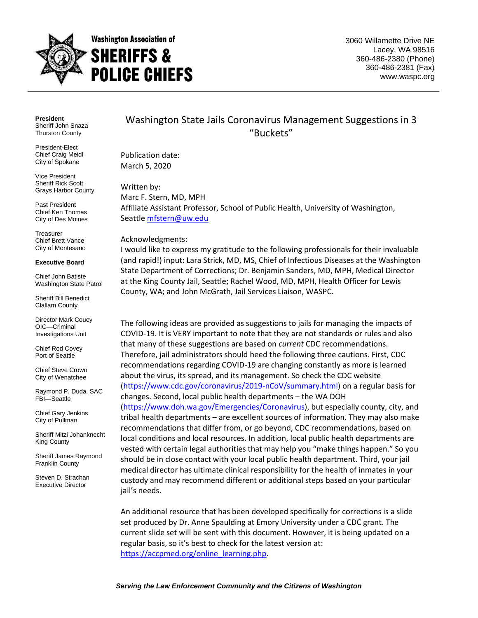

3060 Willamette Drive NE Lacey, WA 98516 360-486-2380 (Phone) 360-486-2381 (Fax) www.waspc.org

**President** Sheriff John Snaza Thurston County

President-Elect Chief Craig Meidl City of Spokane

Vice President Sheriff Rick Scott Grays Harbor County

Past President Chief Ken Thomas City of Des Moines

**Treasurer** Chief Brett Vance City of Montesano

#### **Executive Board**

Chief John Batiste Washington State Patrol

Sheriff Bill Benedict Clallam County

Director Mark Couey OIC—Criminal Investigations Unit

Chief Rod Covey Port of Seattle

Chief Steve Crown City of Wenatchee

Raymond P. Duda, SAC FBI—Seattle

Chief Gary Jenkins City of Pullman

Sheriff Mitzi Johanknecht King County

Sheriff James Raymond Franklin County

Steven D. Strachan Executive Director

Washington State Jails Coronavirus Management Suggestions in 3 "Buckets"

Publication date: March 5, 2020

Written by: Marc F. Stern, MD, MPH Affiliate Assistant Professor, School of Public Health, University of Washington, Seattle [mfstern@uw.edu](mailto:mfstern@uw.edu)

#### Acknowledgments:

I would like to express my gratitude to the following professionals for their invaluable (and rapid!) input: Lara Strick, MD, MS, Chief of Infectious Diseases at the Washington State Department of Corrections; Dr. Benjamin Sanders, MD, MPH, Medical Director at the King County Jail, Seattle; Rachel Wood, MD, MPH, Health Officer for Lewis County, WA; and John McGrath, Jail Services Liaison, WASPC.

The following ideas are provided as suggestions to jails for managing the impacts of COVID-19. It is VERY important to note that they are not standards or rules and also that many of these suggestions are based on *current* CDC recommendations. Therefore, jail administrators should heed the following three cautions. First, CDC recommendations regarding COVID-19 are changing constantly as more is learned about the virus, its spread, and its management. So check the CDC website [\(https://www.cdc.gov/coronavirus/2019-nCoV/summary.html\)](https://www.cdc.gov/coronavirus/2019-nCoV/summary.html) on a regular basis for changes. Second, local public health departments – the WA DOH [\(https://www.doh.wa.gov/Emergencies/Coronavirus\)](https://www.doh.wa.gov/Emergencies/Coronavirus), but especially county, city, and tribal health departments – are excellent sources of information. They may also make recommendations that differ from, or go beyond, CDC recommendations, based on local conditions and local resources. In addition, local public health departments are vested with certain legal authorities that may help you "make things happen." So you should be in close contact with your local public health department. Third, your jail medical director has ultimate clinical responsibility for the health of inmates in your custody and may recommend different or additional steps based on your particular jail's needs.

An additional resource that has been developed specifically for corrections is a slide set produced by Dr. Anne Spaulding at Emory University under a CDC grant. The current slide set will be sent with this document. However, it is being updated on a regular basis, so it's best to check for the latest version at: [https://accpmed.org/online\\_learning.php.](https://accpmed.org/online_learning.php)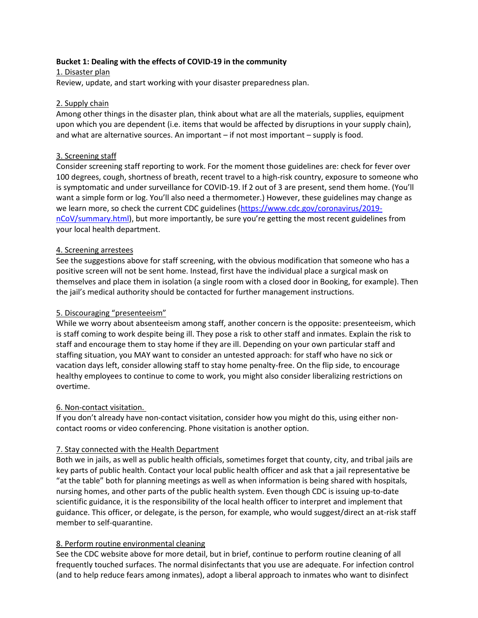## **Bucket 1: Dealing with the effects of COVID-19 in the community**

1. Disaster plan Review, update, and start working with your disaster preparedness plan.

## 2. Supply chain

Among other things in the disaster plan, think about what are all the materials, supplies, equipment upon which you are dependent (i.e. items that would be affected by disruptions in your supply chain), and what are alternative sources. An important – if not most important – supply is food.

## 3. Screening staff

Consider screening staff reporting to work. For the moment those guidelines are: check for fever over 100 degrees, cough, shortness of breath, recent travel to a high-risk country, exposure to someone who is symptomatic and under surveillance for COVID-19. If 2 out of 3 are present, send them home. (You'll want a simple form or log. You'll also need a thermometer.) However, these guidelines may change as we learn more, so check the current CDC guidelines [\(https://www.cdc.gov/coronavirus/2019](https://www.cdc.gov/coronavirus/2019-nCoV/summary.html) [nCoV/summary.html](https://www.cdc.gov/coronavirus/2019-nCoV/summary.html)), but more importantly, be sure you're getting the most recent guidelines from your local health department.

#### 4. Screening arrestees

See the suggestions above for staff screening, with the obvious modification that someone who has a positive screen will not be sent home. Instead, first have the individual place a surgical mask on themselves and place them in isolation (a single room with a closed door in Booking, for example). Then the jail's medical authority should be contacted for further management instructions.

# 5. Discouraging "presenteeism"

While we worry about absenteeism among staff, another concern is the opposite: presenteeism, which is staff coming to work despite being ill. They pose a risk to other staff and inmates. Explain the risk to staff and encourage them to stay home if they are ill. Depending on your own particular staff and staffing situation, you MAY want to consider an untested approach: for staff who have no sick or vacation days left, consider allowing staff to stay home penalty-free. On the flip side, to encourage healthy employees to continue to come to work, you might also consider liberalizing restrictions on overtime.

#### 6. Non-contact visitation.

If you don't already have non-contact visitation, consider how you might do this, using either noncontact rooms or video conferencing. Phone visitation is another option.

# 7. Stay connected with the Health Department

Both we in jails, as well as public health officials, sometimes forget that county, city, and tribal jails are key parts of public health. Contact your local public health officer and ask that a jail representative be "at the table" both for planning meetings as well as when information is being shared with hospitals, nursing homes, and other parts of the public health system. Even though CDC is issuing up-to-date scientific guidance, it is the responsibility of the local health officer to interpret and implement that guidance. This officer, or delegate, is the person, for example, who would suggest/direct an at-risk staff member to self-quarantine.

#### 8. Perform routine environmental cleaning

See the CDC website above for more detail, but in brief, continue to perform routine cleaning of all frequently touched surfaces. The normal disinfectants that you use are adequate. For infection control (and to help reduce fears among inmates), adopt a liberal approach to inmates who want to disinfect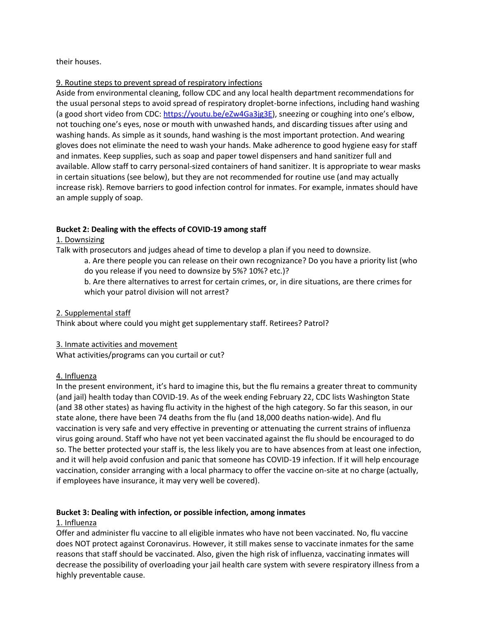#### their houses.

#### 9. Routine steps to prevent spread of respiratory infections

Aside from environmental cleaning, follow CDC and any local health department recommendations for the usual personal steps to avoid spread of respiratory droplet-borne infections, including hand washing (a good short video from CDC:<https://youtu.be/eZw4Ga3jg3E>), sneezing or coughing into one's elbow, not touching one's eyes, nose or mouth with unwashed hands, and discarding tissues after using and washing hands. As simple as it sounds, hand washing is the most important protection. And wearing gloves does not eliminate the need to wash your hands. Make adherence to good hygiene easy for staff and inmates. Keep supplies, such as soap and paper towel dispensers and hand sanitizer full and available. Allow staff to carry personal-sized containers of hand sanitizer. It is appropriate to wear masks in certain situations (see below), but they are not recommended for routine use (and may actually increase risk). Remove barriers to good infection control for inmates. For example, inmates should have an ample supply of soap.

#### **Bucket 2: Dealing with the effects of COVID-19 among staff**

#### 1. Downsizing

Talk with prosecutors and judges ahead of time to develop a plan if you need to downsize.

a. Are there people you can release on their own recognizance? Do you have a priority list (who do you release if you need to downsize by 5%? 10%? etc.)?

b. Are there alternatives to arrest for certain crimes, or, in dire situations, are there crimes for which your patrol division will not arrest?

#### 2. Supplemental staff

Think about where could you might get supplementary staff. Retirees? Patrol?

#### 3. Inmate activities and movement

What activities/programs can you curtail or cut?

#### 4. Influenza

In the present environment, it's hard to imagine this, but the flu remains a greater threat to community (and jail) health today than COVID-19. As of the week ending February 22, CDC lists Washington State (and 38 other states) as having flu activity in the highest of the high category. So far this season, in our state alone, there have been 74 deaths from the flu (and 18,000 deaths nation-wide). And flu vaccination is very safe and very effective in preventing or attenuating the current strains of influenza virus going around. Staff who have not yet been vaccinated against the flu should be encouraged to do so. The better protected your staff is, the less likely you are to have absences from at least one infection, and it will help avoid confusion and panic that someone has COVID-19 infection. If it will help encourage vaccination, consider arranging with a local pharmacy to offer the vaccine on-site at no charge (actually, if employees have insurance, it may very well be covered).

#### **Bucket 3: Dealing with infection, or possible infection, among inmates**

#### 1. Influenza

Offer and administer flu vaccine to all eligible inmates who have not been vaccinated. No, flu vaccine does NOT protect against Coronavirus. However, it still makes sense to vaccinate inmates for the same reasons that staff should be vaccinated. Also, given the high risk of influenza, vaccinating inmates will decrease the possibility of overloading your jail health care system with severe respiratory illness from a highly preventable cause.